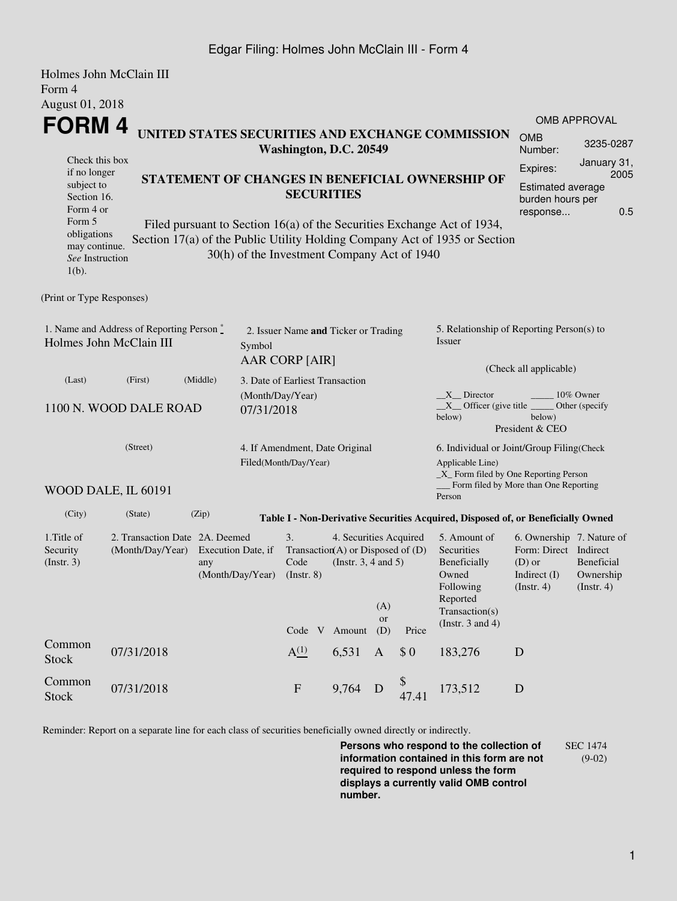## Edgar Filing: Holmes John McClain III - Form 4

|                                                                                                                    | Holmes John McClain III |                                                                                                                                                                                                                                                                                                                                                            |                                 |                                                                             |                                                                                                  |                  |             |                                                                                                                                      |                                                                                                 |                                                                                             |  |  |
|--------------------------------------------------------------------------------------------------------------------|-------------------------|------------------------------------------------------------------------------------------------------------------------------------------------------------------------------------------------------------------------------------------------------------------------------------------------------------------------------------------------------------|---------------------------------|-----------------------------------------------------------------------------|--------------------------------------------------------------------------------------------------|------------------|-------------|--------------------------------------------------------------------------------------------------------------------------------------|-------------------------------------------------------------------------------------------------|---------------------------------------------------------------------------------------------|--|--|
| Form 4                                                                                                             |                         |                                                                                                                                                                                                                                                                                                                                                            |                                 |                                                                             |                                                                                                  |                  |             |                                                                                                                                      |                                                                                                 |                                                                                             |  |  |
| August 01, 2018<br><b>FORM4</b>                                                                                    |                         |                                                                                                                                                                                                                                                                                                                                                            |                                 |                                                                             |                                                                                                  |                  |             | <b>OMB APPROVAL</b>                                                                                                                  |                                                                                                 |                                                                                             |  |  |
|                                                                                                                    |                         | UNITED STATES SECURITIES AND EXCHANGE COMMISSION<br>Washington, D.C. 20549<br>STATEMENT OF CHANGES IN BENEFICIAL OWNERSHIP OF<br><b>SECURITIES</b><br>Filed pursuant to Section 16(a) of the Securities Exchange Act of 1934,<br>Section 17(a) of the Public Utility Holding Company Act of 1935 or Section<br>30(h) of the Investment Company Act of 1940 |                                 |                                                                             |                                                                                                  |                  |             |                                                                                                                                      |                                                                                                 | 3235-0287<br>Number:                                                                        |  |  |
| Check this box<br>if no longer<br>subject to<br>Section 16.<br>Form 4 or<br>Form 5<br>obligations<br>may continue. |                         |                                                                                                                                                                                                                                                                                                                                                            |                                 |                                                                             |                                                                                                  |                  |             |                                                                                                                                      |                                                                                                 | January 31,<br>Expires:<br>2005<br>Estimated average<br>burden hours per<br>0.5<br>response |  |  |
| See Instruction<br>$1(b)$ .                                                                                        |                         |                                                                                                                                                                                                                                                                                                                                                            |                                 |                                                                             |                                                                                                  |                  |             |                                                                                                                                      |                                                                                                 |                                                                                             |  |  |
| (Print or Type Responses)                                                                                          |                         |                                                                                                                                                                                                                                                                                                                                                            |                                 |                                                                             |                                                                                                  |                  |             |                                                                                                                                      |                                                                                                 |                                                                                             |  |  |
| 1. Name and Address of Reporting Person $\stackrel{*}{\mathbb{L}}$<br>Holmes John McClain III<br>Symbol            |                         |                                                                                                                                                                                                                                                                                                                                                            |                                 | 2. Issuer Name and Ticker or Trading<br>AAR CORP [AIR]                      |                                                                                                  |                  |             | 5. Relationship of Reporting Person(s) to<br>Issuer<br>(Check all applicable)                                                        |                                                                                                 |                                                                                             |  |  |
| (Last)                                                                                                             | (First)                 | (Middle)                                                                                                                                                                                                                                                                                                                                                   | 3. Date of Earliest Transaction |                                                                             |                                                                                                  |                  |             |                                                                                                                                      |                                                                                                 |                                                                                             |  |  |
| 1100 N. WOOD DALE ROAD<br>07/31/2018<br>(Street)                                                                   |                         |                                                                                                                                                                                                                                                                                                                                                            |                                 | (Month/Day/Year)<br>4. If Amendment, Date Original<br>Filed(Month/Day/Year) |                                                                                                  |                  |             | X Director<br>10% Owner<br>$X$ Officer (give title $\overline{\phantom{a}}$<br>Other (specify<br>below)<br>below)<br>President & CEO |                                                                                                 |                                                                                             |  |  |
|                                                                                                                    |                         |                                                                                                                                                                                                                                                                                                                                                            |                                 |                                                                             |                                                                                                  |                  |             | 6. Individual or Joint/Group Filing(Check<br>Applicable Line)<br>_X_ Form filed by One Reporting Person                              |                                                                                                 |                                                                                             |  |  |
|                                                                                                                    | WOOD DALE, IL 60191     |                                                                                                                                                                                                                                                                                                                                                            |                                 |                                                                             |                                                                                                  |                  |             | Form filed by More than One Reporting<br>Person                                                                                      |                                                                                                 |                                                                                             |  |  |
| (City)                                                                                                             | (State)                 | (Zip)                                                                                                                                                                                                                                                                                                                                                      |                                 |                                                                             |                                                                                                  |                  |             | Table I - Non-Derivative Securities Acquired, Disposed of, or Beneficially Owned                                                     |                                                                                                 |                                                                                             |  |  |
| 1. Title of<br>Security<br>(Insert. 3)                                                                             |                         | 2. Transaction Date 2A. Deemed<br>(Month/Day/Year)<br>Execution Date, if<br>any<br>(Month/Day/Year)                                                                                                                                                                                                                                                        |                                 |                                                                             | 4. Securities Acquired<br>Transaction(A) or Disposed of $(D)$<br>(Instr. $3, 4$ and $5$ )<br>(A) |                  |             | 5. Amount of<br>Securities<br>Beneficially<br>Owned<br>Following<br>Reported<br>Transaction(s)                                       | 6. Ownership 7. Nature of<br>Form: Direct Indirect<br>$(D)$ or<br>Indirect $(I)$<br>(Insert. 4) | Beneficial<br>Ownership<br>(Insert. 4)                                                      |  |  |
|                                                                                                                    |                         |                                                                                                                                                                                                                                                                                                                                                            |                                 | Code V                                                                      | Amount                                                                                           | <b>or</b><br>(D) | Price       | (Instr. $3$ and $4$ )                                                                                                                |                                                                                                 |                                                                                             |  |  |
| Common<br><b>Stock</b>                                                                                             | 07/31/2018              |                                                                                                                                                                                                                                                                                                                                                            |                                 | A <sup>(1)</sup>                                                            | 6,531                                                                                            | $\mathbf{A}$     | \$0         | 183,276                                                                                                                              | D                                                                                               |                                                                                             |  |  |
| Common<br>Stock                                                                                                    | 07/31/2018              |                                                                                                                                                                                                                                                                                                                                                            |                                 | ${\bf F}$                                                                   | 9,764                                                                                            | D                | \$<br>47.41 | 173,512                                                                                                                              | ${\bf D}$                                                                                       |                                                                                             |  |  |

Reminder: Report on a separate line for each class of securities beneficially owned directly or indirectly.

**Persons who respond to the collection of information contained in this form are not required to respond unless the form displays a currently valid OMB control number.** SEC 1474 (9-02)